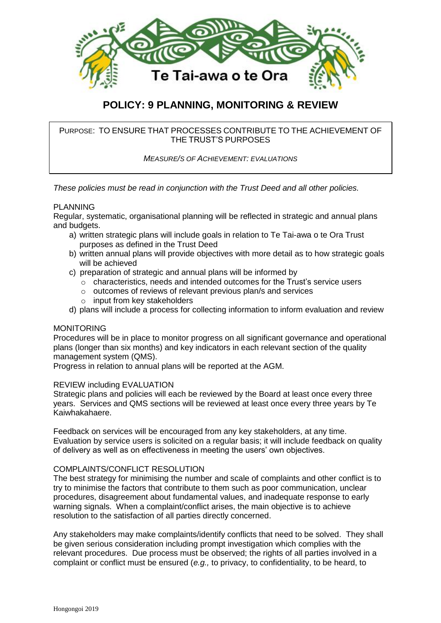

# **POLICY: 9 PLANNING, MONITORING & REVIEW**

PURPOSE: TO ENSURE THAT PROCESSES CONTRIBUTE TO THE ACHIEVEMENT OF THE TRUST'S PURPOSES

*MEASURE/S OF ACHIEVEMENT: EVALUATIONS*

*These policies must be read in conjunction with the Trust Deed and all other policies.*

### PLANNING

Regular, systematic, organisational planning will be reflected in strategic and annual plans and budgets.

- a) written strategic plans will include goals in relation to Te Tai-awa o te Ora Trust purposes as defined in the Trust Deed
- b) written annual plans will provide objectives with more detail as to how strategic goals will be achieved
- c) preparation of strategic and annual plans will be informed by
	- $\circ$  characteristics, needs and intended outcomes for the Trust's service users
	- o outcomes of reviews of relevant previous plan/s and services
	- o input from key stakeholders
- d) plans will include a process for collecting information to inform evaluation and review

#### MONITORING

Procedures will be in place to monitor progress on all significant governance and operational plans (longer than six months) and key indicators in each relevant section of the quality management system (QMS).

Progress in relation to annual plans will be reported at the AGM.

#### REVIEW including EVALUATION

Strategic plans and policies will each be reviewed by the Board at least once every three years. Services and QMS sections will be reviewed at least once every three years by Te Kaiwhakahaere.

Feedback on services will be encouraged from any key stakeholders, at any time. Evaluation by service users is solicited on a regular basis; it will include feedback on quality of delivery as well as on effectiveness in meeting the users' own objectives.

## COMPLAINTS/CONFLICT RESOLUTION

The best strategy for minimising the number and scale of complaints and other conflict is to try to minimise the factors that contribute to them such as poor communication, unclear procedures, disagreement about fundamental values, and inadequate response to early warning signals. When a complaint/conflict arises, the main objective is to achieve resolution to the satisfaction of all parties directly concerned.

Any stakeholders may make complaints/identify conflicts that need to be solved. They shall be given serious consideration including prompt investigation which complies with the relevant procedures. Due process must be observed; the rights of all parties involved in a complaint or conflict must be ensured (*e.g.,* to privacy, to confidentiality, to be heard, to